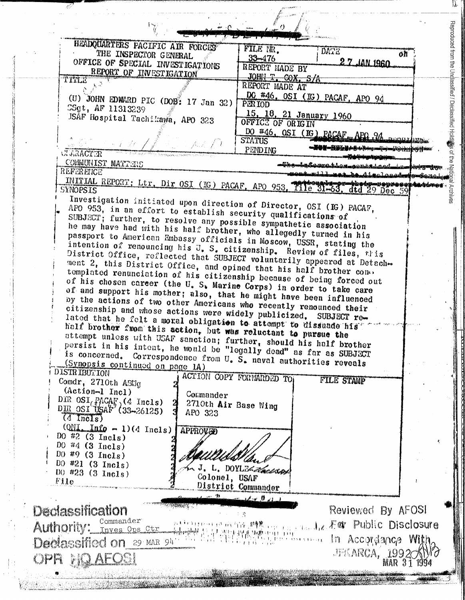| HEADQUARTERS PACIFIC AIR FORCES                                                                                                                                      |                                                                                                                                                                                                                                                                                                                                                                                                                                                                        |
|----------------------------------------------------------------------------------------------------------------------------------------------------------------------|------------------------------------------------------------------------------------------------------------------------------------------------------------------------------------------------------------------------------------------------------------------------------------------------------------------------------------------------------------------------------------------------------------------------------------------------------------------------|
| THE INSPECTOR GENERAL                                                                                                                                                | FILE NR.<br>DATE<br>oh<br>$33 - 476$                                                                                                                                                                                                                                                                                                                                                                                                                                   |
| OFFICE OF SPECIAL INVESTIGATIONS                                                                                                                                     | 2 7 JAN 1960<br>REPORT MADE BY                                                                                                                                                                                                                                                                                                                                                                                                                                         |
| REPORT OF INVESTIGATION<br>TITLE                                                                                                                                     | JOHN T. COX, S/A                                                                                                                                                                                                                                                                                                                                                                                                                                                       |
|                                                                                                                                                                      | REPORT MADE AT                                                                                                                                                                                                                                                                                                                                                                                                                                                         |
| (U) JOHN EDWARD PIC (DOB: 17 Jan 32)<br>CSgt, AF 11313239                                                                                                            | DC #46. OSI (IG) PACAF, APO 94<br>PER IOD                                                                                                                                                                                                                                                                                                                                                                                                                              |
| JSAF Hospital Tachikawa, APO 323                                                                                                                                     | 15, 18, 21 January 1960                                                                                                                                                                                                                                                                                                                                                                                                                                                |
|                                                                                                                                                                      | OFFICE OF ORIGIN                                                                                                                                                                                                                                                                                                                                                                                                                                                       |
|                                                                                                                                                                      | DO #46, OSI (IG) PACAF, APO 24 programs<br><b>STATUS</b>                                                                                                                                                                                                                                                                                                                                                                                                               |
| <b>CLEARTER</b>                                                                                                                                                      | PENDING                                                                                                                                                                                                                                                                                                                                                                                                                                                                |
| COMMUNIST MATTERS<br>REFERENCE                                                                                                                                       | t-from natula de coma talen de la composition de la composition                                                                                                                                                                                                                                                                                                                                                                                                        |
|                                                                                                                                                                      | <del>wiki na taka digalogo da gos</del> ona iya                                                                                                                                                                                                                                                                                                                                                                                                                        |
| <b>SYNOPSIS</b>                                                                                                                                                      | INITIAL REPORT: Ltr. Dir OSI (IG) PACAF, APO 953, Tile 31-63, dtd 29 Dec 59                                                                                                                                                                                                                                                                                                                                                                                            |
| Investigation initiated upon direction of Director, OSI (IG) PACAF,                                                                                                  |                                                                                                                                                                                                                                                                                                                                                                                                                                                                        |
| APO 953, in an effort to establish security qualifications of                                                                                                        |                                                                                                                                                                                                                                                                                                                                                                                                                                                                        |
| SUBJECT: further, to resolve any possible sympathetic association<br>he may have had with his half brother, who allegedly turned in his                              |                                                                                                                                                                                                                                                                                                                                                                                                                                                                        |
| passport to American Embassy officials in Moscow, USSR, stating the                                                                                                  |                                                                                                                                                                                                                                                                                                                                                                                                                                                                        |
| intention of renouncing his U. S. citizenship. Review of files, this                                                                                                 |                                                                                                                                                                                                                                                                                                                                                                                                                                                                        |
| District Office, reflected that SUBJECT voluntarily appeared at Detach-<br>ment 2, this District Office, and opined that his half brother cone.                      |                                                                                                                                                                                                                                                                                                                                                                                                                                                                        |
| templated renunciation of his citizenship because of being forced out                                                                                                |                                                                                                                                                                                                                                                                                                                                                                                                                                                                        |
| of his chosen career (the U.S. Marine Corps) in order to take care<br>of and support his mother; also, that he might have been influenced                            |                                                                                                                                                                                                                                                                                                                                                                                                                                                                        |
| by the actions of two other Americans who recently renounced their                                                                                                   |                                                                                                                                                                                                                                                                                                                                                                                                                                                                        |
| citizenship and whose actions were widely publicized. SUBJECT re-                                                                                                    |                                                                                                                                                                                                                                                                                                                                                                                                                                                                        |
| lated that he felt a moral obligation to attempt to dissuade his<br>half brother from this action, but was reluctant to pursue the                                   |                                                                                                                                                                                                                                                                                                                                                                                                                                                                        |
| attempt unless with USAF sanction; further, should his half brother                                                                                                  |                                                                                                                                                                                                                                                                                                                                                                                                                                                                        |
| persist in his intent, he would be "legally dead" as far as SUBJECT<br>is concerned. Correspondence from $U_{\bullet}$ $\bar{S}_{\bullet}$ naval authorities reveals |                                                                                                                                                                                                                                                                                                                                                                                                                                                                        |
| (Synopsis continued on page 1A)                                                                                                                                      |                                                                                                                                                                                                                                                                                                                                                                                                                                                                        |
| <b>DISTRIBUTION</b><br>Comdr. 2710th ABUg                                                                                                                            | ACTION COPY FORMARDED TO<br><b>FILE STAMP</b>                                                                                                                                                                                                                                                                                                                                                                                                                          |
| $(Action-I Incl)$<br>Commander                                                                                                                                       |                                                                                                                                                                                                                                                                                                                                                                                                                                                                        |
| DIR $OSI_{\langle\hat{J}\rangle}$ (4 Incls)                                                                                                                          | 2710th Air Base Wing                                                                                                                                                                                                                                                                                                                                                                                                                                                   |
| $DIR$ $OSI$ USAF <sup>3</sup> (33-26125)<br>APO 323<br>$\overline{(4 \text{ Inc.} s)}$                                                                               |                                                                                                                                                                                                                                                                                                                                                                                                                                                                        |
| $\text{QML\_Info} - 1$ (4 Incls)<br>APPROVED                                                                                                                         |                                                                                                                                                                                                                                                                                                                                                                                                                                                                        |
| DO #2 $(3 \text{ Inc1s})$<br>DO #4 $(3$ Incls)                                                                                                                       |                                                                                                                                                                                                                                                                                                                                                                                                                                                                        |
| $D()$ #9 (3 Incls)                                                                                                                                                   |                                                                                                                                                                                                                                                                                                                                                                                                                                                                        |
| $00$ #21 (3 Incls)                                                                                                                                                   | J. L. DOYLEAGUAR                                                                                                                                                                                                                                                                                                                                                                                                                                                       |
| DO $#23$ (3 Incls)<br>Colonel, USAF<br>File                                                                                                                          |                                                                                                                                                                                                                                                                                                                                                                                                                                                                        |
|                                                                                                                                                                      | District Commander                                                                                                                                                                                                                                                                                                                                                                                                                                                     |
|                                                                                                                                                                      | $-14.0 + 0.1$                                                                                                                                                                                                                                                                                                                                                                                                                                                          |
| Declassification                                                                                                                                                     | Reviewed By AFOSI<br>工资                                                                                                                                                                                                                                                                                                                                                                                                                                                |
| Authority: Inves Ops Ctr                                                                                                                                             | 실 ' 일본' 단단 이상 野塔 Opera Charle 毛碑 Public Disclosure                                                                                                                                                                                                                                                                                                                                                                                                                     |
|                                                                                                                                                                      | $\frac{1}{12} \left[ \begin{array}{c} \frac{1}{2} \left( \frac{1}{2} \left( \frac{1}{2} \right) \frac{1}{2} \left( \frac{1}{2} \right) \frac{1}{2} \left( \frac{1}{2} \right) \right) + \frac{1}{2} \left( \frac{1}{2} \left( \frac{1}{2} \right) \frac{1}{2} \right) \frac{1}{2} \left( \frac{1}{2} \right) \frac{1}{2} \left( \frac{1}{2} \right) \frac{1}{2} \left( \frac{1}{2} \right) \frac{1}{2} \left( \frac{1}{2} \right) \frac{1}{2} \$<br>In Accordance With |
|                                                                                                                                                                      |                                                                                                                                                                                                                                                                                                                                                                                                                                                                        |
| Declassified on 29 MAR 94                                                                                                                                            |                                                                                                                                                                                                                                                                                                                                                                                                                                                                        |
| OPR HOLAEOSI                                                                                                                                                         | JEKARCA, 1992 XW                                                                                                                                                                                                                                                                                                                                                                                                                                                       |

IJ,

 $\mathbb{P}_4$ 

 $\begin{bmatrix} 1 \\ 2 \\ 3 \\ 4 \end{bmatrix}$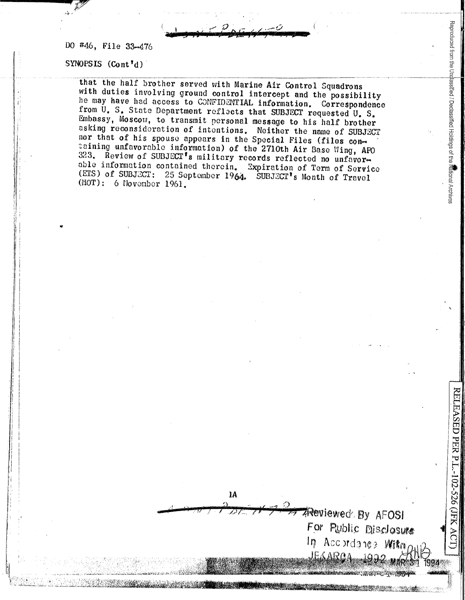DO #46, File 33-476

SYNOPSIS  $(Cont<sup>T</sup>d)$ 

that the half brother served with Marine Air Control Squadrons with duties involving ground control intercept and the possibility he may have had access to CONFIDENTIAL information. Correspondence from U. S. State Department reflects that SUBJECT requested U. S. Embassy, Moscow, to transmit personal message to his half brother asking reconsideration of intentions. Neither the name of SUBJECT nor that of his spouse appears in the Special Files (files containing unfavorable information) of the 2710th Air Base Wing, APO 323. Review of SUBJECT's military records reflected no unfavorable information contained therein. Expiration of Term of Service (ETS) of SUBJECT: 25 September 1964. SUBJECT's Month of Travel (MOT): 6 November 1961.

 $1<sub>A</sub>$ 

Reproduced from the Undassified / Declassified Holdings of the Mational Archives

**CELEASED PER P.L.-102-**

CJFX<br>X

1994

**Reviewed By AFOSI** 

In Accordance With

JEKAROA

For Public Disclosure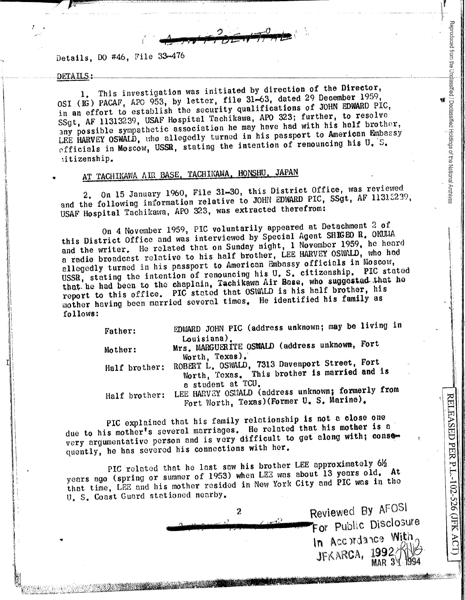$\frac{1}{\sqrt{1-\frac{1}{\sqrt{1-\frac{1}{\sqrt{1-\frac{1}{\sqrt{1-\frac{1}{\sqrt{1-\frac{1}{\sqrt{1-\frac{1}{\sqrt{1-\frac{1}{\sqrt{1-\frac{1}{\sqrt{1-\frac{1}{\sqrt{1-\frac{1}{\sqrt{1-\frac{1}{\sqrt{1-\frac{1}{\sqrt{1-\frac{1}{\sqrt{1-\frac{1}{\sqrt{1-\frac{1}{\sqrt{1-\frac{1}{\sqrt{1-\frac{1}{\sqrt{1-\frac{1}{\sqrt{1-\frac{1}{\sqrt{1-\frac{1}{\sqrt{1-\frac{1}{\sqrt{1-\frac{1}{\sqrt{1-\frac{1}{\sqrt{1-\frac{1$ 

Details, DO #46, File 33-476

9 *pJLHE-'~* - ,,·.~-.,,.,3':'-,··~,·-... ,~,, , . .,,., ,,.F,Zr~·."7&11

## DETAILS:

*l* •

,J

:Ii l. !! ., li – I Ii

> $\mathbf{L}$ I

I\ i.

This investigation was initiated by direction of the Director, OSI (IG) PACAF, APO 953, by letter, file 31-63, dated 29 December 1959, in an effort to establish the security qualifications of JOHN EDWARD PIC, SSgt, AF 11313239, USAF Hospital Tachikawa, APO 323; further, to resolve any possible sympathetic association he may have had with his half brother, LEE HARVEY OSWALD, who allegedly turned in his passport to American Embassy  $_{\rm{eff}~i}$  can in Moscow, USSR, stating the intention of renouncing his U, S. :i tizenship.

## AT TACHIKAWA AIR BASE, TACHIKAWA, HONSHU, JAPAN

2. On 15 January 1960, File 31-30, this District Office, was reviewed and the following information relative to JOHN EDWARD PIC,  $S\$ gt, AF 11312239, USAF Hospital Tachikawa, APO 323, was extracted therefrom:

On 4 November 1959, PIC voluntarily appeared at Detachment 2 of this District Office and was interviewed by Special Agent SHIGEO R. OKUMA and the writer. He related that on Sunday night, 1 November 1959, he heard a radio broadcast relative to his half brother, LEE HARVEY OSWALD, who had allegedly turned in his passport to American Embossy officials in Moscow, USSR, stating the intention of renouncing his U.S. citizenship. PIC stated that he had been to the chaplain, Tachikawa Air Base, who suggested that he report to this office. PIC stated that OSWALD is his half brother, his mother having been married several times. He identified his family as follows:

| Father:       | EDWARD JOHN PIC (address unknown; may be living in                                                                  |
|---------------|---------------------------------------------------------------------------------------------------------------------|
| Mother:       | Louisiana).<br>Mrs. MARGUERITE OSWALD (address unknown, Fort                                                        |
| Half brother: | Worth, Texas).<br>ROBERT L. OSWALD, 7313 Davenport Street, Fort<br>Worth, Texas. This brother is married and is     |
| Half brother: | a student at TCU.<br>LEE HARVEY OSUALD (address unknown; formerly from<br>Fort Worth, Texas) (Former U. S. Marine). |

PIC explained that his family relationship is not a close one due to his mother's several marriages. He related that his mother is a very argumentative person and is very difficult to get along with; conse-

Half brother: LEE Hortworth, Texas)(Former U.S. Marine).<br>
The complete to his mother's several marriages. He related that his mother is a<br>
very argumentative person and is very difficult to get along with; conserved<br>
very PIC rolated that he last saw his brother LEE approximately  $6\frac{1}{2}$  and  $\frac{1}{2}$  and  $\frac{1}{2}$  approximately  $\frac{1}{2}$ . years ago (spring or summer of 1953) when LEE was about 13 years old, that time, LEE and his mother resided in New York City and PIC was in the U. S. Coast Guard stationed nearby.

,,, *V·'•:c,,,,* j/, '. . .. '' ,· ',,· (\.' ,, i;.\j'"UJ'fiill;;>J,li'ii!i1l1/ii'~.!l'~t&:iil\,'ti.1;,,,2!11',;,,~!Mi~,il.;~'.lJ'~·z r'Wdaltll!fMfl~:•:•1~~iJ.':~2~:bc''it,{

r{,<· tJfL::·;~~:·,~tL,:>:~·~-·~j,i:'.-;;~i..Lt.:ii\;:.lf.1~~~Vtf1~f-f:&tli~~~ ~ . , • • .·, · ~ · · ·

 $\begin{bmatrix} 0.5. \text{Cost} \end{bmatrix}$   $\begin{bmatrix} 0.5. \text{Cost} \end{bmatrix}$   $\begin{bmatrix} 0.5. \text{Cost} \end{bmatrix}$   $\begin{bmatrix} 0.5. \text{Cost} \end{bmatrix}$  $\begin{array}{c|c|c|c|c} & \text{Reviewed By ArU>1} \ \hline \end{array}$ For Public Disclosure In Accordance With<br>JFKARCA, 1992 JF K ARGA, 1332 3 1984

Reproduced from the Undassified / Declassified Holdings of the National Archives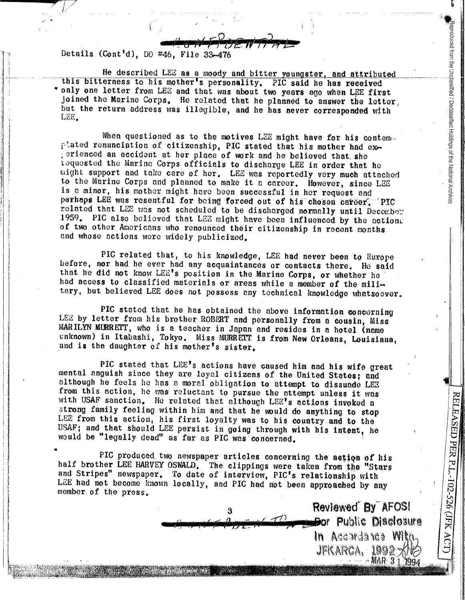Details (Cont'd), DO #46, File 33-476

He described LEE as a moody and bitter youngster, and attributed this bitterness to his mother's personality. PIC said he has received only one letter from LEE and that was about two years ago when LEE first joined the Marine Corps. He related that he planned to answer the letter, but the return address was illegible, and he has never corresponded with LEE.

deproduced from the Unclassified / Declassified Holdings of the National Archives

RELEASED PER P.L.-102-526 (JFK ACT)

Reviewed By AFOSI **Bor Public Disclosure** 

In Accordance With

 $-MAR-31$ 

JFKARCA, 1992

When questioned as to the motives LEE might have for his contemed plated renunciation of citizenship. PIC stated that his mother had exgerienced an accident at her place of work and he believed that she iequested the Marine Corps officials to discharge LEE in order that he might support and take care of her. LEE was reportedly very much attached to the Marine Corps and planned to make it a career. However, since LEE is a minor, his mother might have been successful in her request and perhaps LEE was resentful for being forced out of his chosen career. PIC related that LEE was not scheduled to be discharged normally until December 1959. PIC also believed that LEE might have been influenced by the actions of two other Americans who renounced their citizenship in recent months and whose actions were widely publicized.

PIC related that, to his knowledge, LEE had never been to Europe before, nor had he ever had any acquaintances or contacts there. He said that he did not know LEE's position in the Marine Corps, or whether he had access to classified materials or areas while a member of the military, but believed LEE does not possess any technical knowledge whatsoever.

PIC stated that he has obtained the above information concerning LEE by letter from his brother ROBERT and personally from a cousin, Miss MARILYN MURRETT, who is a teacher in Japan and resides in a hotel (name unknown) in Itabashi, Tokyo. Miss MURRETT is from New Orleans, Louisiana, and is the daughter of his mother's sister.

PIC stated that LEE's actions have caused him and his wife great mental anguish since they are loyal citizens of the United States; and although he feels he has a moral obligation to attempt to dissuade LEE from this action, he was reluctant to pursue the attempt unless it was with USAF sanction. He related that although LEE's actions invoked a strong family feeling within him and that he would do anything to stop LEE from this action, his first loyalty was to his country and to the USAF: and that should LEE persist in going through with his intent, he would be "legally dead" as far as PIC was concerned.

PIC produced two newspaper articles concerning the action of his half brother LEE HARVEY OSWALD. The clippings were taken from the "Stars and Stripes" newspaper. To date of interview, PIC's relationship with LEE had not become known locally, and PIC had not been approached by any member of the press.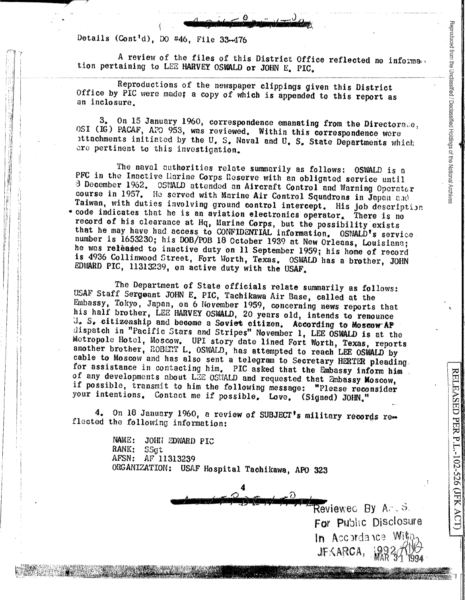Details (Cont'd), 00 #46, File 33-476

A review of the files of this District Office reflected no informa. tion pertaining to LEZ HARVEY OSWALD or JOHN E. PIC.

0 <sup>~</sup>**a** .. ) ( *%)* **'-i** ; <sup>I</sup>

Reproductions of the newspaper clippings given this District Office by PIC were made; a copy of which is appended to this report as an inclosure.

**td 1j 1 f** ,--

3. On 15 January 1960, correspondence emanating from the Directorate, OSI (IG) PACAF, APO 953, was reviewed. Within this correspondence were 1ttachments initiated by the u. s. Naval and u. s. State Departments which are pertinent to this investigation.

The naval authorities relate summorily as follows: OSWALD is <sup>o</sup> PFC in the Inactive Harine Corps Reserve with an obligated service until 3 December 1962. OSWALD attended an Aircraft Control and Warning Operator course in 1957. He served with Marine Air Control Squadrons in Japan and Taiwan, with duties involving ground control intercept. His job description \* code indicates that he is an aviation electronics operator. There is no record of his clearance at Hq, Marine Corps, but the possibility exists that he may have had access to CONFIDENTIAL information. OSWALD's service number is 1653230; his DOB/POB 18 October 1939 at New Orleans, Louisiana; he was released to inactive duty on 11 September 1959; his home of record is 4936 Collinwood Street, Fort Worth, Texas. OSWALD has a brother, JOHN EDWARD PIC, 11313239, on active duty with the USAF.

The Department of State officials relate summarily as follows: USAF Staff Sergeant JOHN E. PIC, Tachikawa Air Base, called at the Embassy, Tokyo, Japan, on 6 November 1959, concerning news reports that his half brother, LEE HARVEY OSWALD, 20 years old, intends to renounce a. S, .citize.nshlp and become a Soviet citizen. According to **Moscow·A'P**  dispatch in "Pacific Stars and Stripes" November 1, LEE OSWALD is at the Motropole Hotel, Moscow. UPI story date lined Fort Worth, Texas, reports another brother, ROBERT L, OSWALD, has attempted to reach LEE OSWALD by cable to Moscow and has also sent a telegram to Secretary HERTER pleading. for assistance in contacting him. PIC asked that the Embassy inform him. of any developments about LZE OSWALD and requested that Embassy Moscow, if possible, transmit to him the following message: "Please reconsider your intentions. Contact me if possible. Love. (Signed) JOHN."

4. On 18 January 1960, a review of SUBJECT's military records reflected the following information:

**4** 

111 1 '\* 1 "

NAME: JOHrJ EDWARD PIC **RANK:** SSgt AFSN: AF **11313239**  ORGANIZATION: USAF **Hospital Taohilcawa, APO <sup>323</sup>**

> **A F <b>F EXECUTE A Reviewec** By A. . . . . For Public Disclosure In Accordance  $Mij$ JF:<ARCA,

Reprod

reed from the Unclassi<br>:

"'' (D 0.

 $\mathbf{r}_i$ 

RELEASED PER P.L.-102-526 (JFK ACT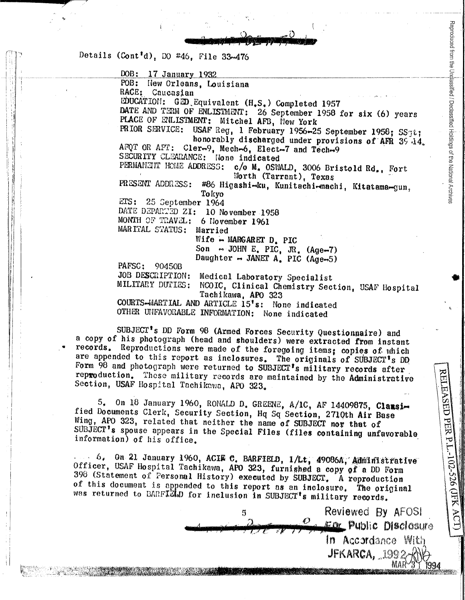Details (Cont'd), DO #46, File 33-476

DOB: 17 January 1932 POB: New Orleans. Louisiana RACE: Caucasian EDUCATION: GED Equivalent (H.S.) Completed 1957 DATE AND TERM OF ENLISTMENT: 26 September 1958 for six (6) years PLACE OF ENLISTMENT: Mitchel AFB, New York PRIOR SERVICE: USAF Reg, 1 February 1956-25 September 1958; SS3t; honorably discharged under provisions of AFR 39.14. AFOT OR APT: Cler-9, Mech-6, Elect-7 and Tech-9 SECURITY CLEARANCE: None indicated PERMANEUT HOME ADDRESS: c/o M. OSWALD. 3006 Bristold Rd., Fort Worth (Tarrant), Texas PRESENT ADDRESS: #86 Higashi-ku, Kunitachi-machi, Kitatama-gun, Tokyo  $ETS: 25$  September 1964 DATE DEPARTED ZI: 10 November 1958 MONTH OF TRAVEL: 6 November 1961 MARITAL STATUS: Married Wife - MARGARET  $D$ . PIC Son  $\sim$  JOHN E. PIC. JR. (Age-7) Daughter  $\rightarrow$  JANET A. PIC (Age-5) PAFSC: 90450B JOB DESCRIPTION: Medical Laboratory Specialist MILITARY DUFIES: NCOIC, Clinical Chemistry Section, USAF Hospital Tachikawa, APO 323 COURTS-MARTIAL AND ARTICLE 15's: None indicated OTHER UNFAVORABLE INFORMATION: None indicated

Reproduced from the Unalassified / Declassified Holdings of the National Archive

RELEASED PER P.L.-102-526 (JFK AC)

Reviewed By AFOSI

Ear Public Disclosure In Accordance With **IFKARCA, 1992** 

SUBJECT's DD Form 98 (Armed Forces Security Questionnaire) and a copy of his photograph (head and shoulders) were extracted from instant records. Reproductions were made of the foregoing items; copies of which are appended to this report as inclosures. The originals of SUBJECT's DD Form 98 and photograph were returned to SUBJECT's military records after reproduction. These military records are maintained by the Administrative Section, USAF Hospital Tachikawa, APO 323.

5. On 18 January 1960, RONALD D. GREENE, A/1C, AF 14409875, Classified Documents Clerk, Security Section, Hq Sq Section, 2710th Air Base Wing, APO 323, related that neither the name of SUBJECT nor that of SUBJECT's spouse appears in the Special Files (files containing unfavorable information) of his office.

... 6. On 21 January 1960, ACIE C. BARFIELD, 1/Lt, 49086A, Administrative Officer, USAF Hospital Tachikawa, APO 323, furnished a copy of a DD Form 398 (Statement of Personal History) executed by SUBJECT. A reproduction of this document is appended to this report as an inclosure. The original was returned to BARFIELD for inclusion in SUBJECT's military records.

5

Ø